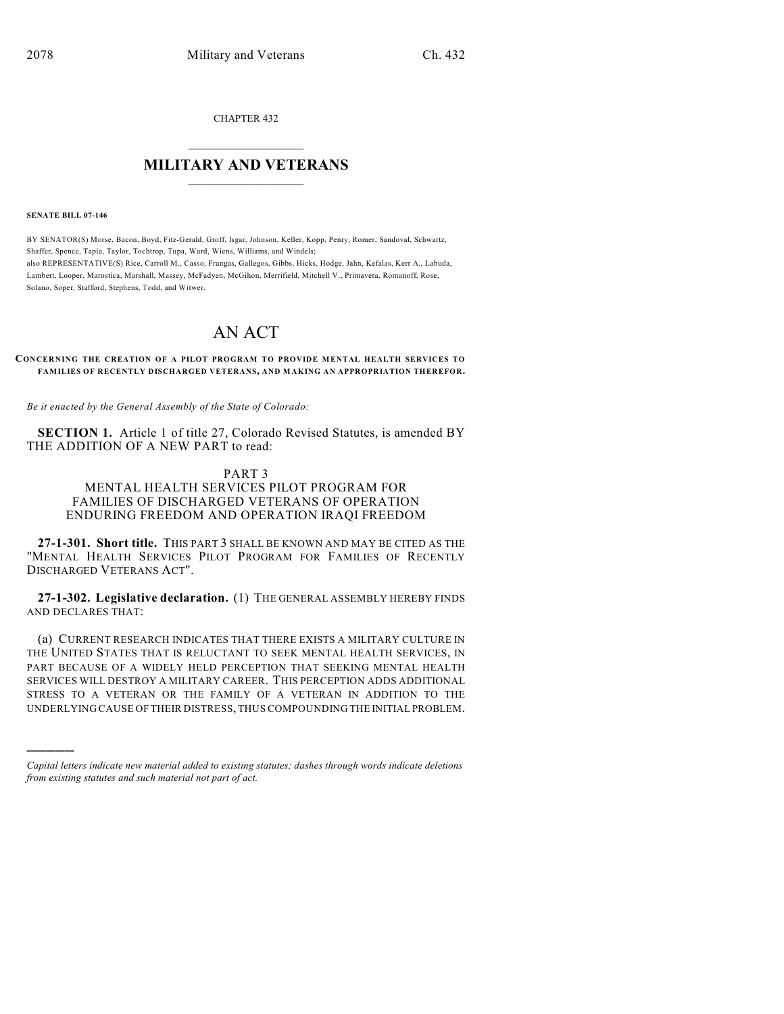CHAPTER 432

## $\overline{\phantom{a}}$  . The set of the set of the set of the set of the set of the set of the set of the set of the set of the set of the set of the set of the set of the set of the set of the set of the set of the set of the set o **MILITARY AND VETERANS**  $\frac{1}{2}$  ,  $\frac{1}{2}$  ,  $\frac{1}{2}$  ,  $\frac{1}{2}$  ,  $\frac{1}{2}$  ,  $\frac{1}{2}$  ,  $\frac{1}{2}$

#### **SENATE BILL 07-146**

)))))

BY SENATOR(S) Morse, Bacon, Boyd, Fitz-Gerald, Groff, Isgar, Johnson, Keller, Kopp, Penry, Romer, Sandoval, Schwartz, Shaffer, Spence, Tapia, Taylor, Tochtrop, Tupa, Ward, Wiens, Williams, and Windels; also REPRESENTATIVE(S) Rice, Carroll M., Casso, Frangas, Gallegos, Gibbs, Hicks, Hodge, Jahn, Kefalas, Kerr A., Labuda, Lambert, Looper, Marostica, Marshall, Massey, McFadyen, McGihon, Merrifield, Mitchell V., Primavera, Romanoff, Rose, Solano, Soper, Stafford, Stephens, Todd, and Witwer.

# AN ACT

#### **CONCERNING THE CREATION OF A PILOT PROGRAM TO PROVIDE MENTAL HEALTH SERVICES TO FAMILIES OF RECENTLY DISCHARGED VETERANS, AND M AKING AN APPROPRIATION THEREFOR.**

*Be it enacted by the General Assembly of the State of Colorado:*

**SECTION 1.** Article 1 of title 27, Colorado Revised Statutes, is amended BY THE ADDITION OF A NEW PART to read:

## PART 3

### MENTAL HEALTH SERVICES PILOT PROGRAM FOR FAMILIES OF DISCHARGED VETERANS OF OPERATION ENDURING FREEDOM AND OPERATION IRAQI FREEDOM

**27-1-301. Short title.** THIS PART 3 SHALL BE KNOWN AND MAY BE CITED AS THE "MENTAL HEALTH SERVICES PILOT PROGRAM FOR FAMILIES OF RECENTLY DISCHARGED VETERANS ACT".

**27-1-302. Legislative declaration.** (1) THE GENERAL ASSEMBLY HEREBY FINDS AND DECLARES THAT:

(a) CURRENT RESEARCH INDICATES THAT THERE EXISTS A MILITARY CULTURE IN THE UNITED STATES THAT IS RELUCTANT TO SEEK MENTAL HEALTH SERVICES, IN PART BECAUSE OF A WIDELY HELD PERCEPTION THAT SEEKING MENTAL HEALTH SERVICES WILL DESTROY A MILITARY CAREER. THIS PERCEPTION ADDS ADDITIONAL STRESS TO A VETERAN OR THE FAMILY OF A VETERAN IN ADDITION TO THE UNDERLYING CAUSE OF THEIR DISTRESS, THUS COMPOUNDING THE INITIAL PROBLEM.

*Capital letters indicate new material added to existing statutes; dashes through words indicate deletions from existing statutes and such material not part of act.*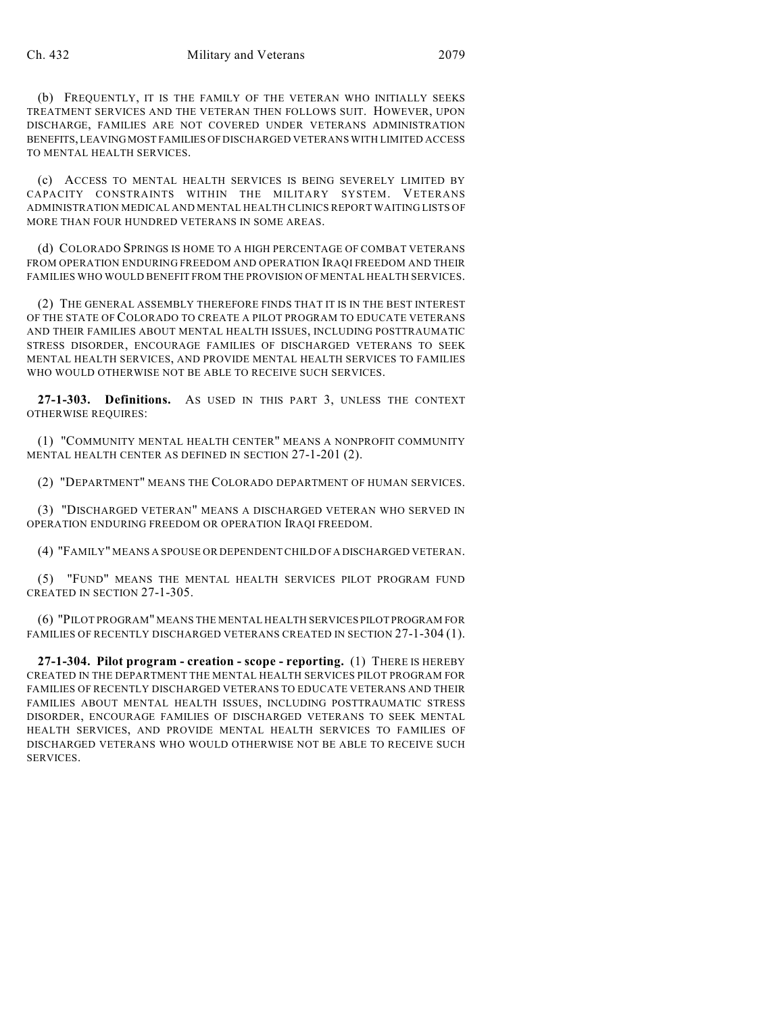(b) FREQUENTLY, IT IS THE FAMILY OF THE VETERAN WHO INITIALLY SEEKS TREATMENT SERVICES AND THE VETERAN THEN FOLLOWS SUIT. HOWEVER, UPON DISCHARGE, FAMILIES ARE NOT COVERED UNDER VETERANS ADMINISTRATION BENEFITS, LEAVING MOST FAMILIES OF DISCHARGED VETERANS WITH LIMITED ACCESS TO MENTAL HEALTH SERVICES.

(c) ACCESS TO MENTAL HEALTH SERVICES IS BEING SEVERELY LIMITED BY CAPACITY CONSTRAINTS WITHIN THE MILITARY SYSTEM. VETERANS ADMINISTRATION MEDICAL AND MENTAL HEALTH CLINICS REPORT WAITING LISTS OF MORE THAN FOUR HUNDRED VETERANS IN SOME AREAS.

(d) COLORADO SPRINGS IS HOME TO A HIGH PERCENTAGE OF COMBAT VETERANS FROM OPERATION ENDURING FREEDOM AND OPERATION IRAQI FREEDOM AND THEIR FAMILIES WHO WOULD BENEFIT FROM THE PROVISION OF MENTAL HEALTH SERVICES.

(2) THE GENERAL ASSEMBLY THEREFORE FINDS THAT IT IS IN THE BEST INTEREST OF THE STATE OF COLORADO TO CREATE A PILOT PROGRAM TO EDUCATE VETERANS AND THEIR FAMILIES ABOUT MENTAL HEALTH ISSUES, INCLUDING POSTTRAUMATIC STRESS DISORDER, ENCOURAGE FAMILIES OF DISCHARGED VETERANS TO SEEK MENTAL HEALTH SERVICES, AND PROVIDE MENTAL HEALTH SERVICES TO FAMILIES WHO WOULD OTHERWISE NOT BE ABLE TO RECEIVE SUCH SERVICES.

**27-1-303. Definitions.** AS USED IN THIS PART 3, UNLESS THE CONTEXT OTHERWISE REQUIRES:

(1) "COMMUNITY MENTAL HEALTH CENTER" MEANS A NONPROFIT COMMUNITY MENTAL HEALTH CENTER AS DEFINED IN SECTION 27-1-201 (2).

(2) "DEPARTMENT" MEANS THE COLORADO DEPARTMENT OF HUMAN SERVICES.

(3) "DISCHARGED VETERAN" MEANS A DISCHARGED VETERAN WHO SERVED IN OPERATION ENDURING FREEDOM OR OPERATION IRAQI FREEDOM.

(4) "FAMILY" MEANS A SPOUSE OR DEPENDENT CHILD OF A DISCHARGED VETERAN.

(5) "FUND" MEANS THE MENTAL HEALTH SERVICES PILOT PROGRAM FUND CREATED IN SECTION 27-1-305.

(6) "PILOT PROGRAM" MEANS THE MENTAL HEALTH SERVICES PILOT PROGRAM FOR FAMILIES OF RECENTLY DISCHARGED VETERANS CREATED IN SECTION 27-1-304 (1).

**27-1-304. Pilot program - creation - scope - reporting.** (1) THERE IS HEREBY CREATED IN THE DEPARTMENT THE MENTAL HEALTH SERVICES PILOT PROGRAM FOR FAMILIES OF RECENTLY DISCHARGED VETERANS TO EDUCATE VETERANS AND THEIR FAMILIES ABOUT MENTAL HEALTH ISSUES, INCLUDING POSTTRAUMATIC STRESS DISORDER, ENCOURAGE FAMILIES OF DISCHARGED VETERANS TO SEEK MENTAL HEALTH SERVICES, AND PROVIDE MENTAL HEALTH SERVICES TO FAMILIES OF DISCHARGED VETERANS WHO WOULD OTHERWISE NOT BE ABLE TO RECEIVE SUCH SERVICES.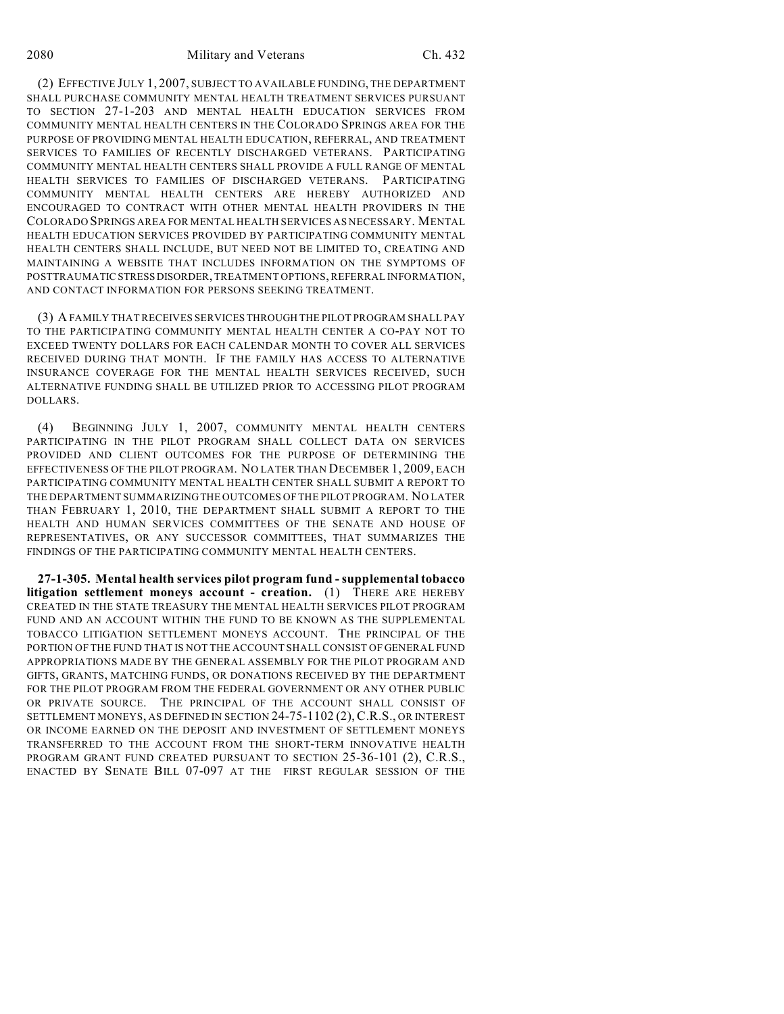(2) EFFECTIVE JULY 1, 2007, SUBJECT TO AVAILABLE FUNDING, THE DEPARTMENT SHALL PURCHASE COMMUNITY MENTAL HEALTH TREATMENT SERVICES PURSUANT TO SECTION 27-1-203 AND MENTAL HEALTH EDUCATION SERVICES FROM COMMUNITY MENTAL HEALTH CENTERS IN THE COLORADO SPRINGS AREA FOR THE PURPOSE OF PROVIDING MENTAL HEALTH EDUCATION, REFERRAL, AND TREATMENT SERVICES TO FAMILIES OF RECENTLY DISCHARGED VETERANS. PARTICIPATING COMMUNITY MENTAL HEALTH CENTERS SHALL PROVIDE A FULL RANGE OF MENTAL HEALTH SERVICES TO FAMILIES OF DISCHARGED VETERANS. PARTICIPATING COMMUNITY MENTAL HEALTH CENTERS ARE HEREBY AUTHORIZED AND ENCOURAGED TO CONTRACT WITH OTHER MENTAL HEALTH PROVIDERS IN THE COLORADO SPRINGS AREA FOR MENTAL HEALTH SERVICES AS NECESSARY. MENTAL HEALTH EDUCATION SERVICES PROVIDED BY PARTICIPATING COMMUNITY MENTAL HEALTH CENTERS SHALL INCLUDE, BUT NEED NOT BE LIMITED TO, CREATING AND MAINTAINING A WEBSITE THAT INCLUDES INFORMATION ON THE SYMPTOMS OF POSTTRAUMATIC STRESS DISORDER, TREATMENT OPTIONS, REFERRAL INFORMATION, AND CONTACT INFORMATION FOR PERSONS SEEKING TREATMENT.

(3) A FAMILY THAT RECEIVES SERVICES THROUGH THE PILOT PROGRAM SHALL PAY TO THE PARTICIPATING COMMUNITY MENTAL HEALTH CENTER A CO-PAY NOT TO EXCEED TWENTY DOLLARS FOR EACH CALENDAR MONTH TO COVER ALL SERVICES RECEIVED DURING THAT MONTH. IF THE FAMILY HAS ACCESS TO ALTERNATIVE INSURANCE COVERAGE FOR THE MENTAL HEALTH SERVICES RECEIVED, SUCH ALTERNATIVE FUNDING SHALL BE UTILIZED PRIOR TO ACCESSING PILOT PROGRAM DOLLARS.

(4) BEGINNING JULY 1, 2007, COMMUNITY MENTAL HEALTH CENTERS PARTICIPATING IN THE PILOT PROGRAM SHALL COLLECT DATA ON SERVICES PROVIDED AND CLIENT OUTCOMES FOR THE PURPOSE OF DETERMINING THE EFFECTIVENESS OF THE PILOT PROGRAM. NO LATER THAN DECEMBER 1, 2009, EACH PARTICIPATING COMMUNITY MENTAL HEALTH CENTER SHALL SUBMIT A REPORT TO THE DEPARTMENT SUMMARIZING THE OUTCOMES OF THE PILOT PROGRAM. NO LATER THAN FEBRUARY 1, 2010, THE DEPARTMENT SHALL SUBMIT A REPORT TO THE HEALTH AND HUMAN SERVICES COMMITTEES OF THE SENATE AND HOUSE OF REPRESENTATIVES, OR ANY SUCCESSOR COMMITTEES, THAT SUMMARIZES THE FINDINGS OF THE PARTICIPATING COMMUNITY MENTAL HEALTH CENTERS.

**27-1-305. Mental health services pilot program fund - supplemental tobacco litigation settlement moneys account - creation.** (1) THERE ARE HEREBY CREATED IN THE STATE TREASURY THE MENTAL HEALTH SERVICES PILOT PROGRAM FUND AND AN ACCOUNT WITHIN THE FUND TO BE KNOWN AS THE SUPPLEMENTAL TOBACCO LITIGATION SETTLEMENT MONEYS ACCOUNT. THE PRINCIPAL OF THE PORTION OF THE FUND THAT IS NOT THE ACCOUNT SHALL CONSIST OF GENERAL FUND APPROPRIATIONS MADE BY THE GENERAL ASSEMBLY FOR THE PILOT PROGRAM AND GIFTS, GRANTS, MATCHING FUNDS, OR DONATIONS RECEIVED BY THE DEPARTMENT FOR THE PILOT PROGRAM FROM THE FEDERAL GOVERNMENT OR ANY OTHER PUBLIC OR PRIVATE SOURCE. THE PRINCIPAL OF THE ACCOUNT SHALL CONSIST OF SETTLEMENT MONEYS, AS DEFINED IN SECTION 24-75-1102 (2),C.R.S., OR INTEREST OR INCOME EARNED ON THE DEPOSIT AND INVESTMENT OF SETTLEMENT MONEYS TRANSFERRED TO THE ACCOUNT FROM THE SHORT-TERM INNOVATIVE HEALTH PROGRAM GRANT FUND CREATED PURSUANT TO SECTION 25-36-101 (2), C.R.S., ENACTED BY SENATE BILL 07-097 AT THE FIRST REGULAR SESSION OF THE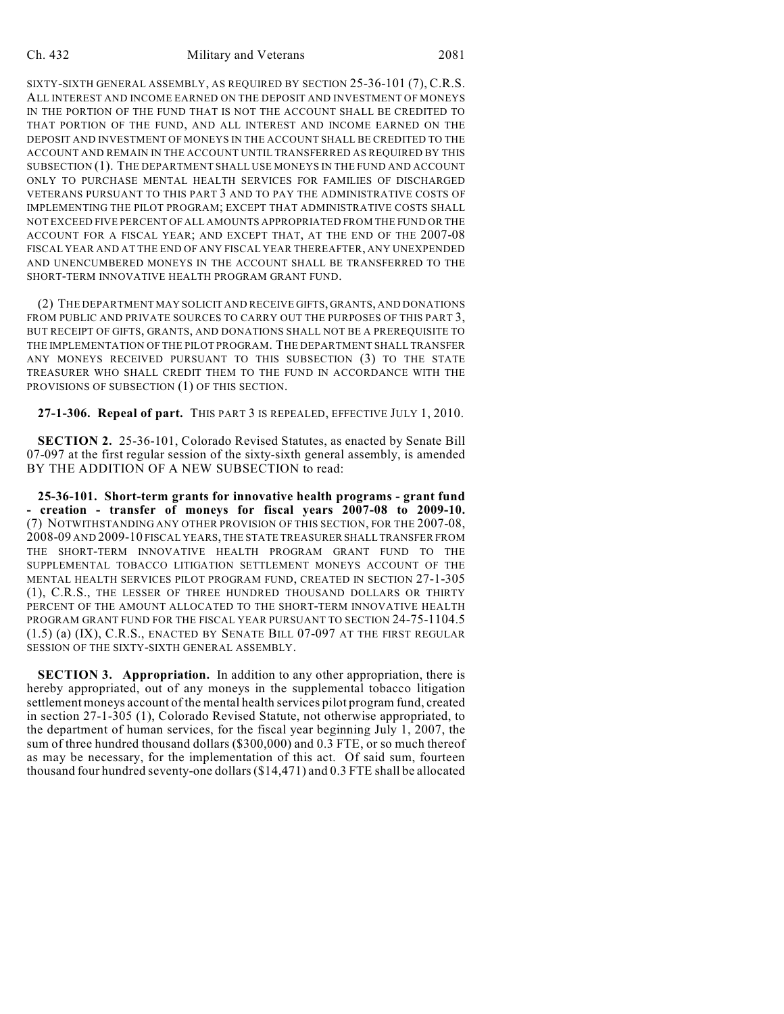### Ch. 432 Military and Veterans 2081

SIXTY-SIXTH GENERAL ASSEMBLY, AS REQUIRED BY SECTION 25-36-101 (7), C.R.S. ALL INTEREST AND INCOME EARNED ON THE DEPOSIT AND INVESTMENT OF MONEYS IN THE PORTION OF THE FUND THAT IS NOT THE ACCOUNT SHALL BE CREDITED TO THAT PORTION OF THE FUND, AND ALL INTEREST AND INCOME EARNED ON THE DEPOSIT AND INVESTMENT OF MONEYS IN THE ACCOUNT SHALL BE CREDITED TO THE ACCOUNT AND REMAIN IN THE ACCOUNT UNTIL TRANSFERRED AS REQUIRED BY THIS SUBSECTION (1). THE DEPARTMENT SHALL USE MONEYS IN THE FUND AND ACCOUNT ONLY TO PURCHASE MENTAL HEALTH SERVICES FOR FAMILIES OF DISCHARGED VETERANS PURSUANT TO THIS PART 3 AND TO PAY THE ADMINISTRATIVE COSTS OF IMPLEMENTING THE PILOT PROGRAM; EXCEPT THAT ADMINISTRATIVE COSTS SHALL NOT EXCEED FIVE PERCENT OF ALL AMOUNTS APPROPRIATED FROM THE FUND OR THE ACCOUNT FOR A FISCAL YEAR; AND EXCEPT THAT, AT THE END OF THE 2007-08 FISCAL YEAR AND AT THE END OF ANY FISCAL YEAR THEREAFTER, ANY UNEXPENDED AND UNENCUMBERED MONEYS IN THE ACCOUNT SHALL BE TRANSFERRED TO THE SHORT-TERM INNOVATIVE HEALTH PROGRAM GRANT FUND.

(2) THE DEPARTMENT MAY SOLICIT AND RECEIVE GIFTS, GRANTS, AND DONATIONS FROM PUBLIC AND PRIVATE SOURCES TO CARRY OUT THE PURPOSES OF THIS PART 3, BUT RECEIPT OF GIFTS, GRANTS, AND DONATIONS SHALL NOT BE A PREREQUISITE TO THE IMPLEMENTATION OF THE PILOT PROGRAM. THE DEPARTMENT SHALL TRANSFER ANY MONEYS RECEIVED PURSUANT TO THIS SUBSECTION (3) TO THE STATE TREASURER WHO SHALL CREDIT THEM TO THE FUND IN ACCORDANCE WITH THE PROVISIONS OF SUBSECTION (1) OF THIS SECTION.

**27-1-306. Repeal of part.** THIS PART 3 IS REPEALED, EFFECTIVE JULY 1, 2010.

**SECTION 2.** 25-36-101, Colorado Revised Statutes, as enacted by Senate Bill 07-097 at the first regular session of the sixty-sixth general assembly, is amended BY THE ADDITION OF A NEW SUBSECTION to read:

**25-36-101. Short-term grants for innovative health programs - grant fund - creation - transfer of moneys for fiscal years 2007-08 to 2009-10.** (7) NOTWITHSTANDING ANY OTHER PROVISION OF THIS SECTION, FOR THE 2007-08, 2008-09 AND 2009-10 FISCAL YEARS, THE STATE TREASURER SHALL TRANSFER FROM THE SHORT-TERM INNOVATIVE HEALTH PROGRAM GRANT FUND TO THE SUPPLEMENTAL TOBACCO LITIGATION SETTLEMENT MONEYS ACCOUNT OF THE MENTAL HEALTH SERVICES PILOT PROGRAM FUND, CREATED IN SECTION 27-1-305 (1), C.R.S., THE LESSER OF THREE HUNDRED THOUSAND DOLLARS OR THIRTY PERCENT OF THE AMOUNT ALLOCATED TO THE SHORT-TERM INNOVATIVE HEALTH PROGRAM GRANT FUND FOR THE FISCAL YEAR PURSUANT TO SECTION 24-75-1104.5 (1.5) (a) (IX), C.R.S., ENACTED BY SENATE BILL 07-097 AT THE FIRST REGULAR SESSION OF THE SIXTY-SIXTH GENERAL ASSEMBLY.

**SECTION 3. Appropriation.** In addition to any other appropriation, there is hereby appropriated, out of any moneys in the supplemental tobacco litigation settlement moneys account of the mental health services pilot program fund, created in section 27-1-305 (1), Colorado Revised Statute, not otherwise appropriated, to the department of human services, for the fiscal year beginning July 1, 2007, the sum of three hundred thousand dollars (\$300,000) and 0.3 FTE, or so much thereof as may be necessary, for the implementation of this act. Of said sum, fourteen thousand four hundred seventy-one dollars (\$14,471) and 0.3 FTE shall be allocated